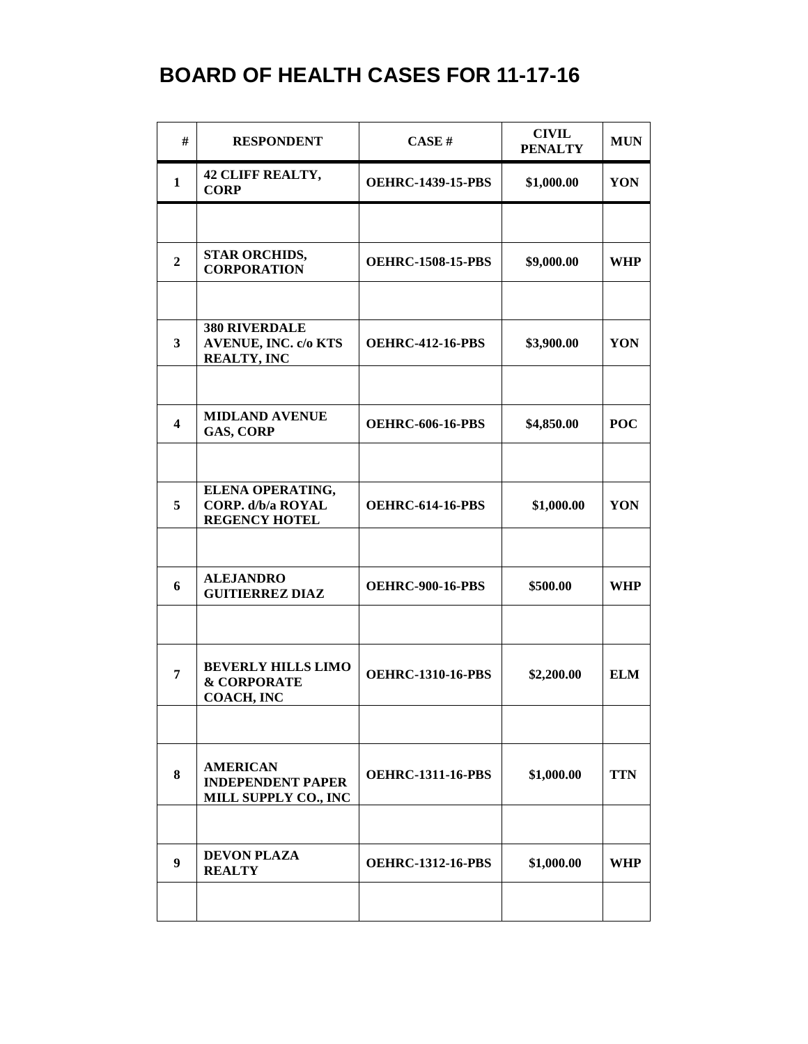| #                       | <b>RESPONDENT</b>                                                         | CASE#                    | <b>CIVIL</b><br><b>PENALTY</b> | <b>MUN</b> |
|-------------------------|---------------------------------------------------------------------------|--------------------------|--------------------------------|------------|
| $\mathbf{1}$            | <b>42 CLIFF REALTY,</b><br><b>CORP</b>                                    | <b>OEHRC-1439-15-PBS</b> | \$1,000.00                     | YON        |
|                         |                                                                           |                          |                                |            |
| $\overline{2}$          | <b>STAR ORCHIDS,</b><br><b>CORPORATION</b>                                | <b>OEHRC-1508-15-PBS</b> | \$9,000.00                     | <b>WHP</b> |
|                         |                                                                           |                          |                                |            |
| $\mathbf{3}$            | <b>380 RIVERDALE</b><br><b>AVENUE, INC. c/o KTS</b><br><b>REALTY, INC</b> | <b>OEHRC-412-16-PBS</b>  | \$3,900.00                     | YON        |
|                         | <b>MIDLAND AVENUE</b>                                                     |                          |                                |            |
| $\overline{\mathbf{4}}$ | <b>GAS, CORP</b>                                                          | <b>OEHRC-606-16-PBS</b>  | \$4,850.00                     | <b>POC</b> |
|                         | ELENA OPERATING,                                                          |                          |                                |            |
| 5                       | <b>CORP.</b> d/b/a ROYAL<br><b>REGENCY HOTEL</b>                          | <b>OEHRC-614-16-PBS</b>  | \$1,000.00                     | YON        |
|                         |                                                                           |                          |                                |            |
| 6                       | <b>ALEJANDRO</b><br><b>GUITIERREZ DIAZ</b>                                | <b>OEHRC-900-16-PBS</b>  | \$500.00                       | <b>WHP</b> |
|                         |                                                                           |                          |                                |            |
| 7                       | <b>BEVERLY HILLS LIMO</b><br><b>&amp; CORPORATE</b><br>COACH, INC         | <b>OEHRC-1310-16-PBS</b> | \$2,200.00                     | <b>ELM</b> |
|                         |                                                                           |                          |                                |            |
| 8                       | <b>AMERICAN</b><br><b>INDEPENDENT PAPER</b><br>MILL SUPPLY CO., INC       | <b>OEHRC-1311-16-PBS</b> | \$1,000.00                     | <b>TTN</b> |
|                         |                                                                           |                          |                                |            |
| 9                       | <b>DEVON PLAZA</b><br><b>REALTY</b>                                       | <b>OEHRC-1312-16-PBS</b> | \$1,000.00                     | <b>WHP</b> |
|                         |                                                                           |                          |                                |            |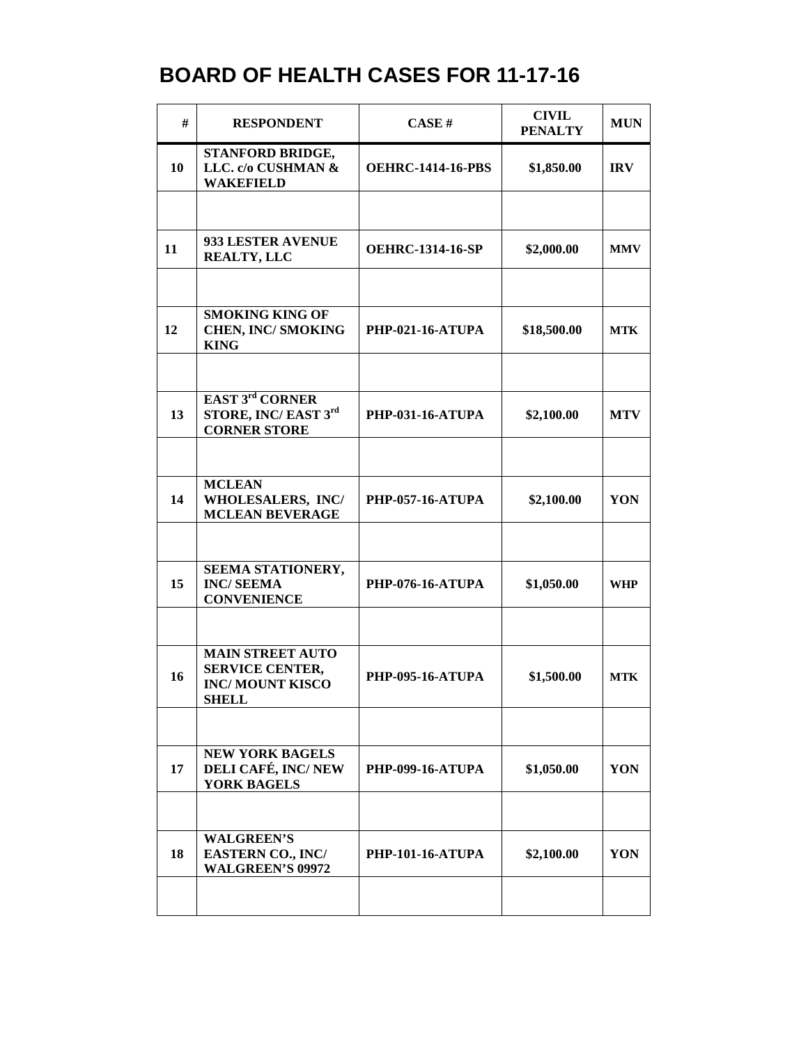| #  | <b>RESPONDENT</b>                                                                           | CASE#                    | <b>CIVIL</b><br><b>PENALTY</b> | <b>MUN</b> |
|----|---------------------------------------------------------------------------------------------|--------------------------|--------------------------------|------------|
| 10 | STANFORD BRIDGE,<br>LLC. c/o CUSHMAN &<br><b>WAKEFIELD</b>                                  | <b>OEHRC-1414-16-PBS</b> | \$1,850.00                     | <b>IRV</b> |
|    |                                                                                             |                          |                                |            |
| 11 | 933 LESTER AVENUE<br><b>REALTY, LLC</b>                                                     | <b>OEHRC-1314-16-SP</b>  | \$2,000.00                     | <b>MMV</b> |
|    |                                                                                             |                          |                                |            |
| 12 | <b>SMOKING KING OF</b><br><b>CHEN, INC/ SMOKING</b><br><b>KING</b>                          | <b>PHP-021-16-ATUPA</b>  | \$18,500.00                    | <b>MTK</b> |
|    |                                                                                             |                          |                                |            |
| 13 | <b>EAST 3rd CORNER</b><br>STORE, INC/EAST 3rd<br><b>CORNER STORE</b>                        | <b>PHP-031-16-ATUPA</b>  | \$2,100.00                     | <b>MTV</b> |
|    |                                                                                             |                          |                                |            |
| 14 | <b>MCLEAN</b><br>WHOLESALERS, INC/<br><b>MCLEAN BEVERAGE</b>                                | <b>PHP-057-16-ATUPA</b>  | \$2,100.00                     | YON        |
|    |                                                                                             |                          |                                |            |
| 15 | SEEMA STATIONERY,<br><b>INC/SEEMA</b><br><b>CONVENIENCE</b>                                 | <b>PHP-076-16-ATUPA</b>  | \$1,050.00                     | <b>WHP</b> |
|    |                                                                                             |                          |                                |            |
| 16 | <b>MAIN STREET AUTO</b><br><b>SERVICE CENTER,</b><br><b>INC/MOUNT KISCO</b><br><b>SHELL</b> | <b>PHP-095-16-ATUPA</b>  | \$1,500.00                     | <b>MTK</b> |
|    |                                                                                             |                          |                                |            |
| 17 | <b>NEW YORK BAGELS</b><br>DELI CAFÉ, INC/NEW<br><b>YORK BAGELS</b>                          | <b>PHP-099-16-ATUPA</b>  | \$1,050.00                     | YON        |
|    |                                                                                             |                          |                                |            |
| 18 | <b>WALGREEN'S</b><br>EASTERN CO., INC/<br><b>WALGREEN'S 09972</b>                           | <b>PHP-101-16-ATUPA</b>  | \$2,100.00                     | YON        |
|    |                                                                                             |                          |                                |            |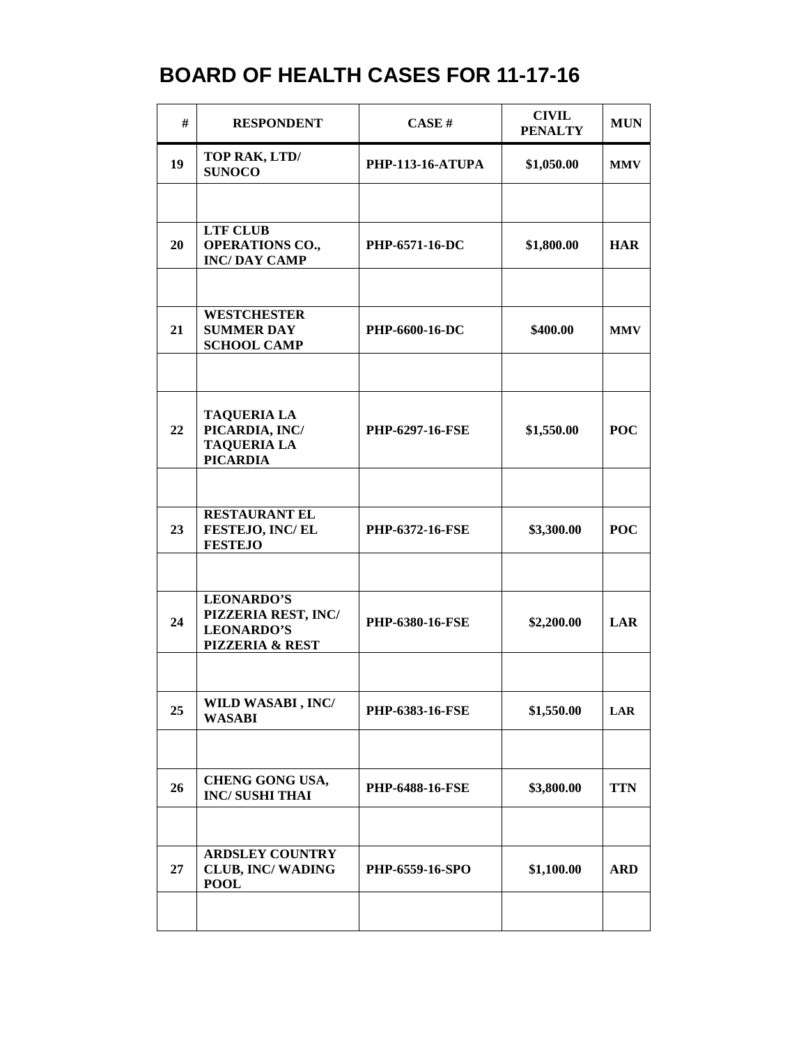| #  | <b>RESPONDENT</b>                                                                | CASE#                   | <b>CIVIL</b><br><b>PENALTY</b> | <b>MUN</b> |
|----|----------------------------------------------------------------------------------|-------------------------|--------------------------------|------------|
| 19 | TOP RAK, LTD/<br><b>SUNOCO</b>                                                   | <b>PHP-113-16-ATUPA</b> | \$1,050.00                     | <b>MMV</b> |
|    |                                                                                  |                         |                                |            |
| 20 | <b>LTF CLUB</b><br><b>OPERATIONS CO.,</b><br><b>INC/DAY CAMP</b>                 | <b>PHP-6571-16-DC</b>   | \$1,800.00                     | <b>HAR</b> |
|    |                                                                                  |                         |                                |            |
| 21 | <b>WESTCHESTER</b><br><b>SUMMER DAY</b><br><b>SCHOOL CAMP</b>                    | PHP-6600-16-DC          | \$400.00                       | <b>MMV</b> |
|    |                                                                                  |                         |                                |            |
| 22 | <b>TAQUERIA LA</b><br>PICARDIA, INC/<br><b>TAQUERIA LA</b><br><b>PICARDIA</b>    | PHP-6297-16-FSE         | \$1,550.00                     | <b>POC</b> |
|    |                                                                                  |                         |                                |            |
| 23 | <b>RESTAURANT EL</b><br>FESTEJO, INC/EL<br><b>FESTEJO</b>                        | PHP-6372-16-FSE         | \$3,300.00                     | <b>POC</b> |
|    |                                                                                  |                         |                                |            |
| 24 | <b>LEONARDO'S</b><br>PIZZERIA REST, INC/<br><b>LEONARDO'S</b><br>PIZZERIA & REST | PHP-6380-16-FSE         | \$2,200.00                     | LAR        |
|    |                                                                                  |                         |                                |            |
| 25 | WILD WASABI, INC/<br><b>WASABI</b>                                               | <b>PHP-6383-16-FSE</b>  | \$1,550.00                     | LAR        |
|    |                                                                                  |                         |                                |            |
| 26 | <b>CHENG GONG USA,</b><br><b>INC/SUSHI THAI</b>                                  | <b>PHP-6488-16-FSE</b>  | \$3,800.00                     | <b>TTN</b> |
|    |                                                                                  |                         |                                |            |
| 27 | <b>ARDSLEY COUNTRY</b><br><b>CLUB, INC/WADING</b><br><b>POOL</b>                 | <b>PHP-6559-16-SPO</b>  | \$1,100.00                     | <b>ARD</b> |
|    |                                                                                  |                         |                                |            |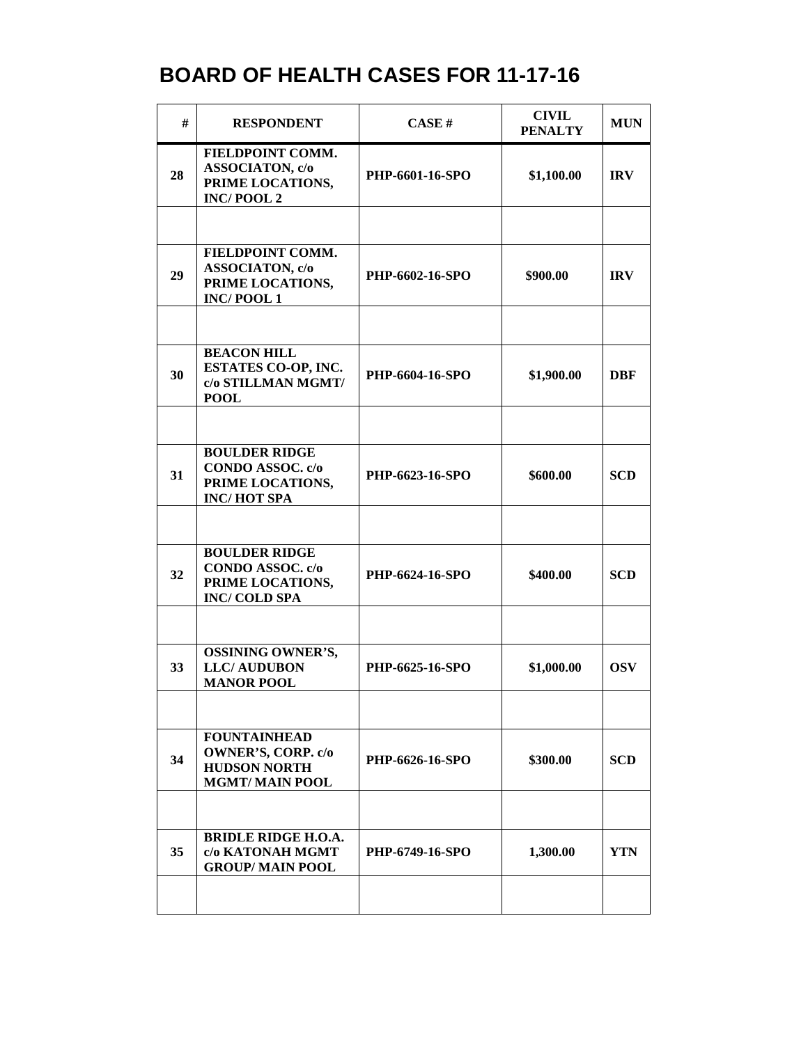| #  | <b>RESPONDENT</b>                                                                                | CASE H          | <b>CIVIL</b><br><b>PENALTY</b> | <b>MUN</b> |
|----|--------------------------------------------------------------------------------------------------|-----------------|--------------------------------|------------|
| 28 | FIELDPOINT COMM.<br>ASSOCIATON, c/o<br>PRIME LOCATIONS,<br><b>INC/POOL2</b>                      | PHP-6601-16-SPO | \$1,100.00                     | <b>IRV</b> |
|    |                                                                                                  |                 |                                |            |
| 29 | FIELDPOINT COMM.<br>ASSOCIATON, c/o<br>PRIME LOCATIONS,<br><b>INC/POOL1</b>                      | PHP-6602-16-SPO | \$900.00                       | <b>IRV</b> |
|    |                                                                                                  |                 |                                |            |
| 30 | <b>BEACON HILL</b><br>ESTATES CO-OP, INC.<br>c/o STILLMAN MGMT/<br><b>POOL</b>                   | PHP-6604-16-SPO | \$1,900.00                     | DBF        |
|    |                                                                                                  |                 |                                |            |
| 31 | <b>BOULDER RIDGE</b><br>CONDO ASSOC. c/o<br>PRIME LOCATIONS,<br><b>INC/HOT SPA</b>               | PHP-6623-16-SPO | \$600.00                       | <b>SCD</b> |
|    |                                                                                                  |                 |                                |            |
| 32 | <b>BOULDER RIDGE</b><br>CONDO ASSOC. c/o<br>PRIME LOCATIONS,<br><b>INC/COLD SPA</b>              | PHP-6624-16-SPO | \$400.00                       | <b>SCD</b> |
|    |                                                                                                  |                 |                                |            |
| 33 | <b>OSSINING OWNER'S,</b><br><b>LLC/AUDUBON</b><br><b>MANOR POOL</b>                              | PHP-6625-16-SPO | \$1,000.00                     | <b>OSV</b> |
|    |                                                                                                  |                 |                                |            |
| 34 | <b>FOUNTAINHEAD</b><br><b>OWNER'S, CORP. c/o</b><br><b>HUDSON NORTH</b><br><b>MGMT/MAIN POOL</b> | PHP-6626-16-SPO | \$300.00                       | <b>SCD</b> |
|    |                                                                                                  |                 |                                |            |
| 35 | <b>BRIDLE RIDGE H.O.A.</b><br>c/o KATONAH MGMT<br><b>GROUP/MAIN POOL</b>                         | PHP-6749-16-SPO | 1,300.00                       | <b>YTN</b> |
|    |                                                                                                  |                 |                                |            |